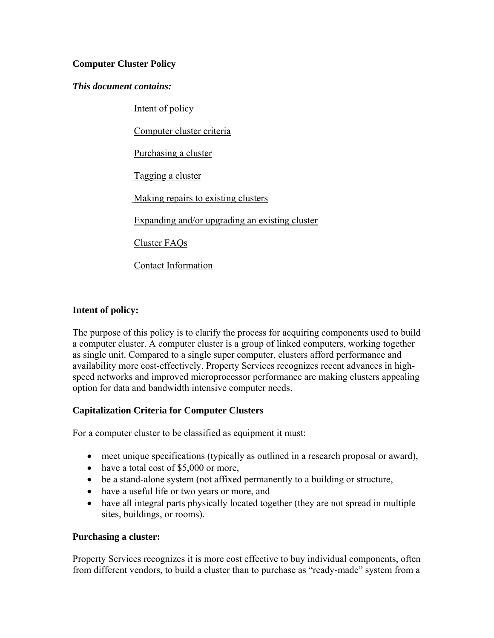## **Computer Cluster Policy**

#### *This document contains:*

Intent of policy

Computer cluster criteria

Purchasing a cluster

Tagging a cluster

Making repairs to existing clusters

Expanding and/or upgrading an existing cluster

Cluster FAQs

Contact Information

## **Intent of policy:**

The purpose of this policy is to clarify the process for acquiring components used to build a computer cluster. A computer cluster is a group of linked computers, working together as single unit. Compared to a single super computer, clusters afford performance and availability more cost-effectively. Property Services recognizes recent advances in highspeed networks and improved microprocessor performance are making clusters appealing option for data and bandwidth intensive computer needs.

## **Capitalization Criteria for Computer Clusters**

For a computer cluster to be classified as equipment it must:

- meet unique specifications (typically as outlined in a research proposal or award),
- have a total cost of \$5,000 or more,
- be a stand-alone system (not affixed permanently to a building or structure,
- have a useful life or two years or more, and
- have all integral parts physically located together (they are not spread in multiple sites, buildings, or rooms).

## **Purchasing a cluster:**

Property Services recognizes it is more cost effective to buy individual components, often from different vendors, to build a cluster than to purchase as "ready-made" system from a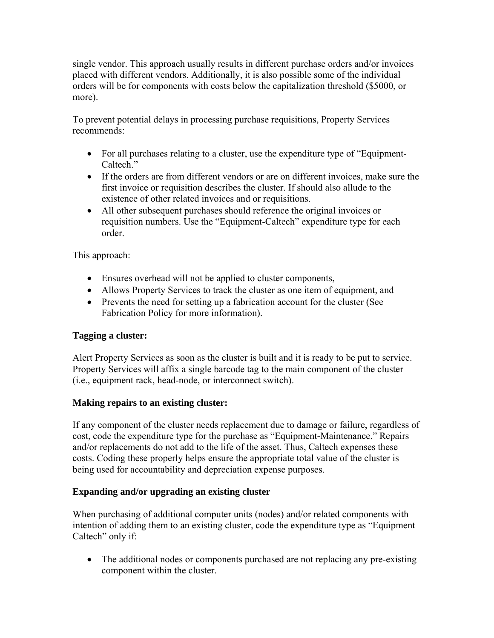single vendor. This approach usually results in different purchase orders and/or invoices placed with different vendors. Additionally, it is also possible some of the individual orders will be for components with costs below the capitalization threshold (\$5000, or more).

To prevent potential delays in processing purchase requisitions, Property Services recommends:

- For all purchases relating to a cluster, use the expenditure type of "Equipment-Caltech."
- If the orders are from different vendors or are on different invoices, make sure the first invoice or requisition describes the cluster. If should also allude to the existence of other related invoices and or requisitions.
- All other subsequent purchases should reference the original invoices or requisition numbers. Use the "Equipment-Caltech" expenditure type for each order.

This approach:

- Ensures overhead will not be applied to cluster components,
- Allows Property Services to track the cluster as one item of equipment, and
- Prevents the need for setting up a fabrication account for the cluster (See Fabrication Policy for more information).

## **Tagging a cluster:**

Alert Property Services as soon as the cluster is built and it is ready to be put to service. Property Services will affix a single barcode tag to the main component of the cluster (i.e., equipment rack, head-node, or interconnect switch).

## **Making repairs to an existing cluster:**

If any component of the cluster needs replacement due to damage or failure, regardless of cost, code the expenditure type for the purchase as "Equipment-Maintenance." Repairs and/or replacements do not add to the life of the asset. Thus, Caltech expenses these costs. Coding these properly helps ensure the appropriate total value of the cluster is being used for accountability and depreciation expense purposes.

# **Expanding and/or upgrading an existing cluster**

When purchasing of additional computer units (nodes) and/or related components with intention of adding them to an existing cluster, code the expenditure type as "Equipment Caltech" only if:

 The additional nodes or components purchased are not replacing any pre-existing component within the cluster.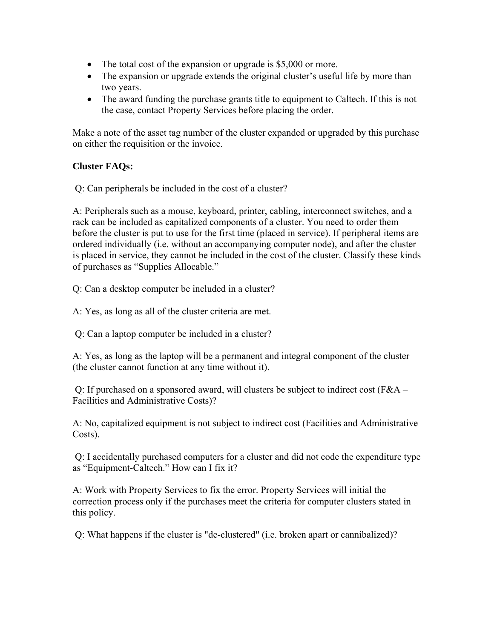- The total cost of the expansion or upgrade is \$5,000 or more.
- The expansion or upgrade extends the original cluster's useful life by more than two years.
- The award funding the purchase grants title to equipment to Caltech. If this is not the case, contact Property Services before placing the order.

Make a note of the asset tag number of the cluster expanded or upgraded by this purchase on either the requisition or the invoice.

## **Cluster FAQs:**

Q: Can peripherals be included in the cost of a cluster?

A: Peripherals such as a mouse, keyboard, printer, cabling, interconnect switches, and a rack can be included as capitalized components of a cluster. You need to order them before the cluster is put to use for the first time (placed in service). If peripheral items are ordered individually (i.e. without an accompanying computer node), and after the cluster is placed in service, they cannot be included in the cost of the cluster. Classify these kinds of purchases as "Supplies Allocable."

Q: Can a desktop computer be included in a cluster?

A: Yes, as long as all of the cluster criteria are met.

Q: Can a laptop computer be included in a cluster?

A: Yes, as long as the laptop will be a permanent and integral component of the cluster (the cluster cannot function at any time without it).

 Q: If purchased on a sponsored award, will clusters be subject to indirect cost (F&A – Facilities and Administrative Costs)?

A: No, capitalized equipment is not subject to indirect cost (Facilities and Administrative Costs).

 Q: I accidentally purchased computers for a cluster and did not code the expenditure type as "Equipment-Caltech." How can I fix it?

A: Work with Property Services to fix the error. Property Services will initial the correction process only if the purchases meet the criteria for computer clusters stated in this policy.

Q: What happens if the cluster is "de-clustered" (i.e. broken apart or cannibalized)?